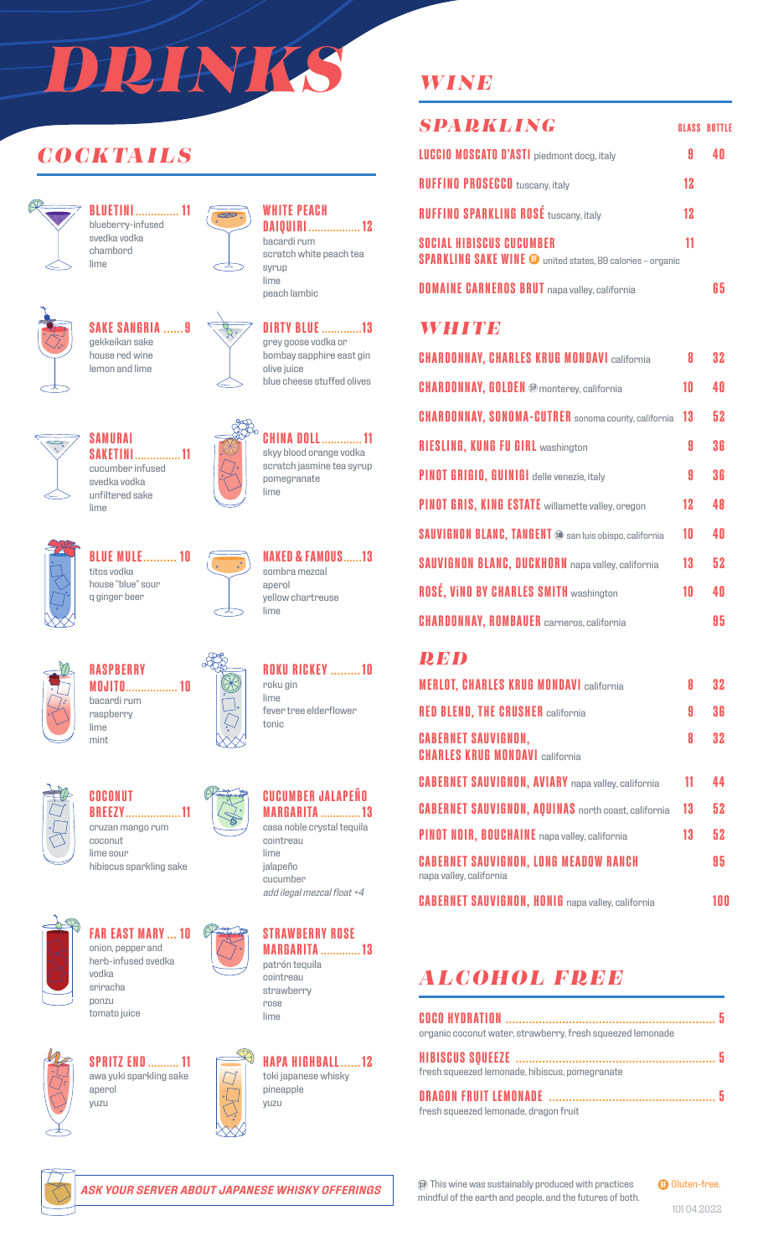# *DRINKS*

# *COCKTAILS*



**BLUETINI .............. 11** blueberry-infused svedka vodka chambord lime



# **SAKE SANGRIA ......9** gekkeikan sake



house red wine lemon and lime





 $\infty$ 

**WHITE PEACH DAIQUIRI ................. 12**

bacardi rum scratch white peach tea syrup lime peach lambic



grey goose vodka or bombay sapphire east gin olive juice blue cheese stuffed olives



**CHINA DOLL............. 11** skyy blood orange vodka scratch jasmine tea syrup pomegranate lime



**BLUE MULE.......... 10** titos vodka house "blue" sour q ginger beer

**SAMURAI**

lime

cucumber infused svedka vodka unfiltered sake



**NAKED & FAMOUS......13** sombra mezcal anerol yellow chartreuse lime

**ROKU RICKEY .........10**

fever tree elderflower

roku gin lime

tonic



**RASPBERRY MOJITO................. 10** bacardi rum raspberry lime mint



**COCONUT BREEZY.................. 11** cruzan mango rum coconut

lime sour hibiscus sparkling sake



**FAR EAST MARY ... 10** onion, pepper and herb-infused svedka vodka sriracha ponzu tomato juice



**SPRITZ END.......... 11** awa yuki sparkling sake aperol yuzu



*add ilegal mezcal float +4*



cointreau strawberry rose lime



# *WINE*

| <b>SPARKLING</b>                                                                                     |    | <b>GLASS BOTTLE</b> |
|------------------------------------------------------------------------------------------------------|----|---------------------|
| <b>LUCCIO MOSCATO D'ASTI</b> piedmont docg, italy                                                    | Я  |                     |
| <b>RUFFINO PROSECCO</b> tuscany, italy                                                               | 12 |                     |
| <b>RUFFINO SPARKLING ROSÉ tuscany, italy</b>                                                         | 12 |                     |
| <b>SOCIAL HIBISCUS CUCUMBER</b><br><b>SPARKLING SAKE WINE @</b> united states, 89 calories - organic | 11 |                     |
| <b>DOMAINE CARNEROS BRUT</b> napa valley, california                                                 |    |                     |

#### *WHITE*

| <b>CHARDONNAY, CHARLES KRUG MONDAVI california</b>            | 8  | 32  |
|---------------------------------------------------------------|----|-----|
| <b>CHARDONNAY, GOLDEN ®</b> monterey, california              | 10 | 4 N |
| <b>CHARDONNAY, SONOMA-CUTRER</b> sonoma county, california    | 13 | 52  |
| <b>RIESLING, KUNG FU GIRL washington</b>                      | A  | 36  |
| PINOT GRIGIO, GUINIGI delle venezie, italy                    | 9  | 36  |
| <b>PINOT GRIS, KING ESTATE</b> willamette valley, oregon      | 12 | 48  |
| <b>SAUVIGNON BLANC, TANGENT @ san luis obispo, california</b> | 10 | 40  |
| <b>SAUVIGNON BLANC, DUCKHORN</b> napa valley, california      | 13 | 52  |
| <b>ROSÉ, VINO BY CHARLES SMITH washington</b>                 | 10 | 4 N |
| <b>CHARDONNAY, ROMBAUER</b> carneros, california              |    | 95  |

#### *RED*

| <b>MERLOT, CHARLES KRUG MONDAVI california</b>                          | 8  | 32 |
|-------------------------------------------------------------------------|----|----|
| <b>RED BLEND, THE CRUSHER california</b>                                | 9  | 36 |
| <b>CABERNET SAUVIGNON,</b><br><b>CHARLES KRUG MONDAVI california</b>    | 8  | 32 |
| <b>CABERNET SAUVIGNON, AVIARY</b> napa valley, california               | 11 | 44 |
| <b>CABERNET SAUVIGNON, AQUINAS</b> north coast, california              | 13 | 52 |
| <b>PINOT NOIR, BOUCHAINE</b> napa valley, california                    | 13 | 52 |
| <b>CABERNET SAUVIGNON, LONG MEADOW RANCH</b><br>napa valley, california |    | 95 |
| <b>CABERNET SAUVIGNON, HONIG</b> napa valley, california                |    | nn |

# *ALCOHOL FREE*

| organic coconut water, strawberry, fresh squeezed lemonade |  |
|------------------------------------------------------------|--|
|                                                            |  |
| fresh squeezed lemonade, hibiscus, pomegranate             |  |
|                                                            |  |
| fresh squeezed lemonade, dragon fruit                      |  |



*ASK YOUR SERVER ABOUT JAPANESE WHISKY OFFERINGS*

This wine was sustainably produced with practices mindful of the earth and people, and the futures of both. **GB** Gluten-free.

101 04.2022